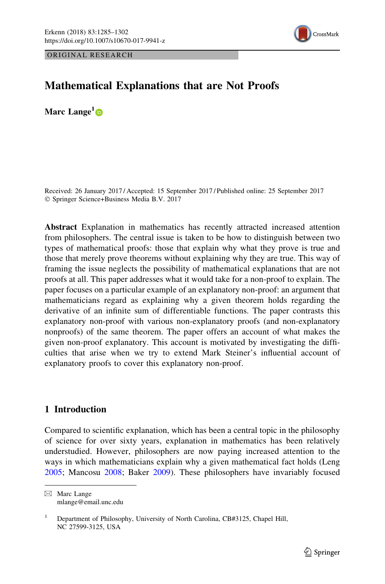

<span id="page-0-0"></span>ORIGINAL RESEARCH

# Mathematical Explanations that are Not Proofs

Marc Lange<sup>1</sup>

Received: 26 January 2017 / Accepted: 15 September 2017 / Published online: 25 September 2017 © Springer Science+Business Media B.V. 2017

Abstract Explanation in mathematics has recently attracted increased attention from philosophers. The central issue is taken to be how to distinguish between two types of mathematical proofs: those that explain why what they prove is true and those that merely prove theorems without explaining why they are true. This way of framing the issue neglects the possibility of mathematical explanations that are not proofs at all. This paper addresses what it would take for a non-proof to explain. The paper focuses on a particular example of an explanatory non-proof: an argument that mathematicians regard as explaining why a given theorem holds regarding the derivative of an infinite sum of differentiable functions. The paper contrasts this explanatory non-proof with various non-explanatory proofs (and non-explanatory nonproofs) of the same theorem. The paper offers an account of what makes the given non-proof explanatory. This account is motivated by investigating the difficulties that arise when we try to extend Mark Steiner's influential account of explanatory proofs to cover this explanatory non-proof.

## 1 Introduction

Compared to scientific explanation, which has been a central topic in the philosophy of science for over sixty years, explanation in mathematics has been relatively understudied. However, philosophers are now paying increased attention to the ways in which mathematicians explain why a given mathematical fact holds (Leng [2005;](#page-17-0) Mancosu [2008](#page-17-0); Baker [2009\)](#page-17-0). These philosophers have invariably focused

 $\boxtimes$  Marc Lange mlange@email.unc.edu

<sup>1</sup> Department of Philosophy, University of North Carolina, CB#3125, Chapel Hill, NC 27599-3125, USA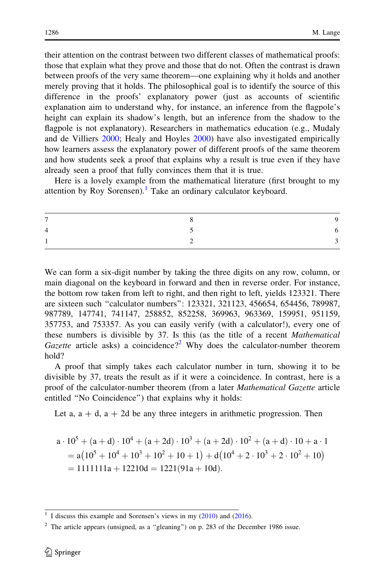their attention on the contrast between two different classes of mathematical proofs: those that explain what they prove and those that do not. Often the contrast is drawn between proofs of the very same theorem—one explaining why it holds and another merely proving that it holds. The philosophical goal is to identify the source of this difference in the proofs' explanatory power (just as accounts of scientific explanation aim to understand why, for instance, an inference from the flagpole's height can explain its shadow's length, but an inference from the shadow to the flagpole is not explanatory). Researchers in mathematics education (e.g., Mudaly and de Villiers [2000](#page-17-0); Healy and Hoyles [2000\)](#page-17-0) have also investigated empirically how learners assess the explanatory power of different proofs of the same theorem and how students seek a proof that explains why a result is true even if they have already seen a proof that fully convinces them that it is true.

Here is a lovely example from the mathematical literature (first brought to my attention by Roy Sorensen).<sup>1</sup> Take an ordinary calculator keyboard.

| - | $\alpha$ |
|---|----------|
| 4 | 6        |
|   | $\gamma$ |

We can form a six-digit number by taking the three digits on any row, column, or main diagonal on the keyboard in forward and then in reverse order. For instance, the bottom row taken from left to right, and then right to left, yields 123321. There are sixteen such ''calculator numbers'': 123321, 321123, 456654, 654456, 789987, 987789, 147741, 741147, 258852, 852258, 369963, 963369, 159951, 951159, 357753, and 753357. As you can easily verify (with a calculator!), every one of these numbers is divisible by 37. Is this (as the title of a recent Mathematical Gazette article asks) a coincidence?<sup>2</sup> Why does the calculator-number theorem hold?

A proof that simply takes each calculator number in turn, showing it to be divisible by 37, treats the result as if it were a coincidence. In contrast, here is a proof of the calculator-number theorem (from a later *Mathematical Gazette* article entitled ''No Coincidence'') that explains why it holds:

Let a,  $a + d$ ,  $a + 2d$  be any three integers in arithmetic progression. Then

$$
a \cdot 10^5 + (a+d) \cdot 10^4 + (a+2d) \cdot 10^3 + (a+2d) \cdot 10^2 + (a+d) \cdot 10 + a \cdot 1
$$
  
=  $a(10^5 + 10^4 + 10^3 + 10^2 + 10 + 1) + d(10^4 + 2 \cdot 10^3 + 2 \cdot 10^2 + 10)$   
= 1111111a + 12210d = 1221(91a + 10d).

<sup>&</sup>lt;sup>1</sup> I discuss this example and Sorensen's views in my  $(2010)$  $(2010)$  and  $(2016)$ .

 $2$  The article appears (unsigned, as a "gleaning") on p. 283 of the December 1986 issue.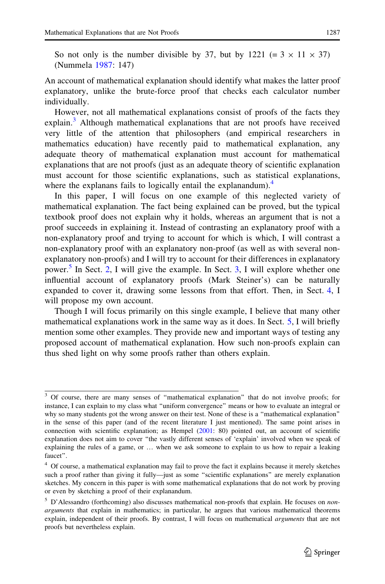So not only is the number divisible by 37, but by 1221 (=  $3 \times 11 \times 37$ ) (Nummela [1987](#page-17-0): 147)

An account of mathematical explanation should identify what makes the latter proof explanatory, unlike the brute-force proof that checks each calculator number individually.

However, not all mathematical explanations consist of proofs of the facts they  $explain.<sup>3</sup>$  Although mathematical explanations that are not proofs have received very little of the attention that philosophers (and empirical researchers in mathematics education) have recently paid to mathematical explanation, any adequate theory of mathematical explanation must account for mathematical explanations that are not proofs (just as an adequate theory of scientific explanation must account for those scientific explanations, such as statistical explanations, where the explanans fails to logically entail the explanandum).<sup>4</sup>

In this paper, I will focus on one example of this neglected variety of mathematical explanation. The fact being explained can be proved, but the typical textbook proof does not explain why it holds, whereas an argument that is not a proof succeeds in explaining it. Instead of contrasting an explanatory proof with a non-explanatory proof and trying to account for which is which, I will contrast a non-explanatory proof with an explanatory non-proof (as well as with several nonexplanatory non-proofs) and I will try to account for their differences in explanatory power.<sup>5</sup> In Sect. [2](#page-3-0), I will give the example. In Sect. [3](#page-5-0), I will explore whether one influential account of explanatory proofs (Mark Steiner's) can be naturally expanded to cover it, drawing some lessons from that effort. Then, in Sect. [4](#page-10-0), I will propose my own account.

Though I will focus primarily on this single example, I believe that many other mathematical explanations work in the same way as it does. In Sect. [5](#page-15-0), I will briefly mention some other examples. They provide new and important ways of testing any proposed account of mathematical explanation. How such non-proofs explain can thus shed light on why some proofs rather than others explain.

<sup>&</sup>lt;sup>3</sup> Of course, there are many senses of "mathematical explanation" that do not involve proofs; for instance, I can explain to my class what ''uniform convergence'' means or how to evaluate an integral or why so many students got the wrong answer on their test. None of these is a "mathematical explanation" in the sense of this paper (and of the recent literature I just mentioned). The same point arises in connection with scientific explanation; as Hempel [\(2001](#page-17-0): 80) pointed out, an account of scientific explanation does not aim to cover ''the vastly different senses of 'explain' involved when we speak of explaining the rules of a game, or … when we ask someone to explain to us how to repair a leaking faucet".

<sup>&</sup>lt;sup>4</sup> Of course, a mathematical explanation may fail to prove the fact it explains because it merely sketches such a proof rather than giving it fully—just as some "scientific explanations" are merely explanation sketches. My concern in this paper is with some mathematical explanations that do not work by proving or even by sketching a proof of their explanandum.

<sup>&</sup>lt;sup>5</sup> D'Alessandro (forthcoming) also discusses mathematical non-proofs that explain. He focuses on nonarguments that explain in mathematics; in particular, he argues that various mathematical theorems explain, independent of their proofs. By contrast, I will focus on mathematical *arguments* that are not proofs but nevertheless explain.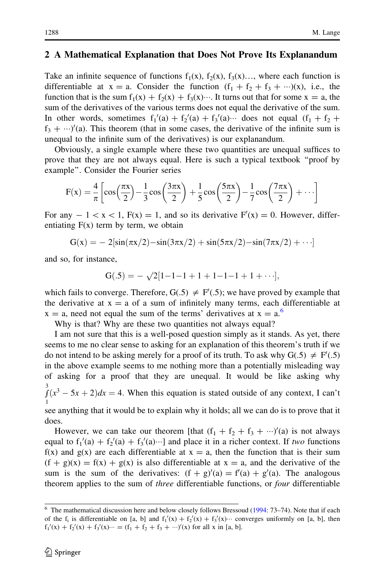### <span id="page-3-0"></span>2 A Mathematical Explanation that Does Not Prove Its Explanandum

Take an infinite sequence of functions  $f_1(x)$ ,  $f_2(x)$ ,  $f_3(x)$ …, where each function is differentiable at  $x = a$ . Consider the function  $(f_1 + f_2 + f_3 + \cdots)(x)$ , i.e., the function that is the sum  $f_1(x) + f_2(x) + f_3(x) \cdots$ . It turns out that for some  $x = a$ , the sum of the derivatives of the various terms does not equal the derivative of the sum. In other words, sometimes  $f_1'(a) + f_2'(a) + f_3'(a) \cdots$  does not equal  $(f_1 + f_2 + f_3'(a))$  $f_3 + \cdots$ /(a). This theorem (that in some cases, the derivative of the infinite sum is unequal to the infinite sum of the derivatives) is our explanandum.

Obviously, a single example where these two quantities are unequal suffices to prove that they are not always equal. Here is such a typical textbook ''proof by example''. Consider the Fourier series

$$
F(x) = \frac{4}{\pi} \left[ \cos\left(\frac{\pi x}{2}\right) - \frac{1}{3} \cos\left(\frac{3\pi x}{2}\right) + \frac{1}{5} \cos\left(\frac{5\pi x}{2}\right) - \frac{1}{7} \cos\left(\frac{7\pi x}{2}\right) + \cdots \right]
$$

For any  $-1 < x < 1$ ,  $F(x) = 1$ , and so its derivative  $F'(x) = 0$ . However, differentiating  $F(x)$  term by term, we obtain

$$
G(x) = -2[\sin(\pi x/2) - \sin(3\pi x/2) + \sin(5\pi x/2) - \sin(7\pi x/2) + \cdots]
$$

and so, for instance,

$$
G(.5) = -\sqrt{2[1-1-1+1+1-1-1+1+\cdots]},
$$

which fails to converge. Therefore,  $G(.5) \neq F'(0.5)$ ; we have proved by example that the derivative at  $x = a$  of a sum of infinitely many terms, each differentiable at  $x = a$ , need not equal the sum of the terms' derivatives at  $x = a$ .

Why is that? Why are these two quantities not always equal?

I am not sure that this is a well-posed question simply as it stands. As yet, there seems to me no clear sense to asking for an explanation of this theorem's truth if we do not intend to be asking merely for a proof of its truth. To ask why  $G(.5) \neq F'(0.5)$ in the above example seems to me nothing more than a potentially misleading way of asking for a proof that they are unequal. It would be like asking why  $\int_{0}^{3} (x^3 - 5x + 2) dx = 4$ . When this equation is stated outside of any context, I can't 1

see anything that it would be to explain why it holds; all we can do is to prove that it does.

However, we can take our theorem [that  $(f_1 + f_2 + f_3 + \cdots)'(a)$  is not always equal to  $f_1'(a) + f_2'(a) + f_3'(a) \cdots$ ] and place it in a richer context. If two functions  $f(x)$  and  $g(x)$  are each differentiable at  $x = a$ , then the function that is their sum  $(f + g)(x) = f(x) + g(x)$  is also differentiable at  $x = a$ , and the derivative of the sum is the sum of the derivatives:  $(f + g)'(a) = f'(a) + g'(a)$ . The analogous theorem applies to the sum of *three* differentiable functions, or *four* differentiable

 $6$  The mathematical discussion here and below closely follows Bressoud [\(1994](#page-17-0): 73-74). Note that if each of the  $f_i$  is differentiable on [a, b] and  $f_1'(x) + f_2'(x) + f_3'(x) \cdots$  converges uniformly on [a, b], then  $f_1'(x) + f_2'(x) + f_3'(x) \cdots = (f_1 + f_2 + f_3 + \cdots)'(x)$  for all x in [a, b].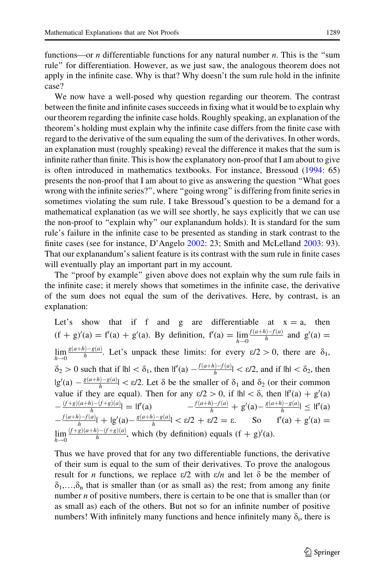functions—or *n* differentiable functions for any natural number *n*. This is the "sum rule'' for differentiation. However, as we just saw, the analogous theorem does not apply in the infinite case. Why is that? Why doesn't the sum rule hold in the infinite case?

We now have a well-posed why question regarding our theorem. The contrast between the finite and infinite cases succeeds in fixing what it would be to explain why our theorem regarding the infinite case holds. Roughly speaking, an explanation of the theorem's holding must explain why the infinite case differs from the finite case with regard to the derivative of the sum equaling the sum of the derivatives. In other words, an explanation must (roughly speaking) reveal the difference it makes that the sum is infinite rather than finite. This is how the explanatory non-proof that I am about to give is often introduced in mathematics textbooks. For instance, Bressoud [\(1994](#page-17-0): 65) presents the non-proof that I am about to give as answering the question ''What goes wrong with the infinite series?'', where ''going wrong'' is differing from finite series in sometimes violating the sum rule. I take Bressoud's question to be a demand for a mathematical explanation (as we will see shortly, he says explicitly that we can use the non-proof to ''explain why'' our explanandum holds). It is standard for the sum rule's failure in the infinite case to be presented as standing in stark contrast to the finite cases (see for instance, D'Angelo [2002:](#page-17-0) 23; Smith and McLelland [2003:](#page-17-0) 93). That our explanandum's salient feature is its contrast with the sum rule in finite cases will eventually play an important part in my account.

The ''proof by example'' given above does not explain why the sum rule fails in the infinite case; it merely shows that sometimes in the infinite case, the derivative of the sum does not equal the sum of the derivatives. Here, by contrast, is an explanation:

Let's show that if f and g are differentiable at  $x = a$ , then  $(f + g)'(a) = f'(a) + g'(a)$ . By definition,  $f'(a) = \lim_{h \to 0}$  $\frac{f(a+h)-f(a)}{h}$  and  $g'(a) =$  $\lim_{h\to 0}$  $\frac{g(a+h)-g(a)}{h}$ . Let's unpack these limits: for every  $\epsilon/2 > 0$ , there are  $\delta_1$ ,  $\delta_2 > 0$  such that if  $|h| < \delta_1$ , then  $|f'(a) - \frac{f(a+h)-f(a)}{h}| < \varepsilon/2$ , and if  $|h| < \delta_2$ , then  $|g'(a) - \frac{g(a+h)-g(a)}{h}| < \varepsilon/2$ . Let  $\delta$  be the smaller of  $\delta_1$  and  $\delta_2$  (or their common value if they are equal). Then for any  $\epsilon/2 > 0$ , if  $|h| < \delta$ , then  $|f'(a) + g'(a)|$  $-\frac{(f+g)(a+h)-(f+g)(a)}{h}$  =  $|f'(a)$   $-\frac{f(a+h)-f(a)}{h} + g'(a)-\frac{g(a+h)-g(a)}{h}| \leq |f'(a)|$  $-\frac{f(a+h)-f(a)}{h} + |g'(a) - \frac{g(a+h)-g(a)}{h}| < \varepsilon/2 + \varepsilon/2 = \varepsilon.$  So  $f'(a) + g'(a) =$  $\lim_{h\to 0}$  $\frac{(f+g)(a+h)-(f+g)(a)}{h}$ , which (by definition) equals  $(f+g)'(a)$ .

Thus we have proved that for any two differentiable functions, the derivative of their sum is equal to the sum of their derivatives. To prove the analogous result for *n* functions, we replace  $\varepsilon/2$  with  $\varepsilon/n$  and let  $\delta$  be the member of  $\delta_1,...,\delta_n$  that is smaller than (or as small as) the rest; from among any finite number  $n$  of positive numbers, there is certain to be one that is smaller than (or as small as) each of the others. But not so for an infinite number of positive numbers! With infinitely many functions and hence infinitely many  $\delta_i$ , there is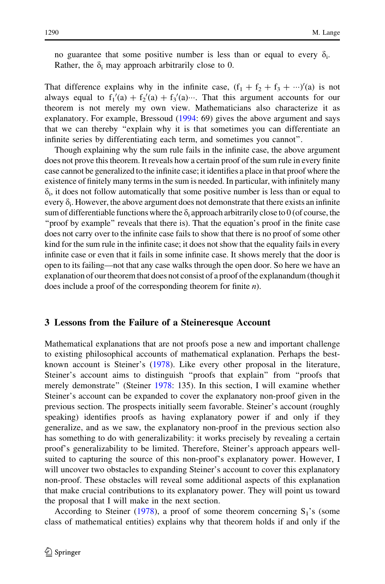<span id="page-5-0"></span>no guarantee that some positive number is less than or equal to every  $\delta_i$ . Rather, the  $\delta_i$  may approach arbitrarily close to 0.

That difference explains why in the infinite case,  $(f_1 + f_2 + f_3 + \cdots)$  (a) is not always equal to  $f_1'(a) + f_2'(a) + f_3'(a) \cdots$ . That this argument accounts for our theorem is not merely my own view. Mathematicians also characterize it as explanatory. For example, Bressoud ([1994:](#page-17-0) 69) gives the above argument and says that we can thereby ''explain why it is that sometimes you can differentiate an infinite series by differentiating each term, and sometimes you cannot''.

Though explaining why the sum rule fails in the infinite case, the above argument does not prove this theorem. It reveals how a certain proof of the sum rule in every finite case cannot be generalized to the infinite case; it identifies a place in that proof where the existence of finitely many terms in the sum is needed. In particular, with infinitely many  $\delta_i$ , it does not follow automatically that some positive number is less than or equal to every  $\delta_i$ . However, the above argument does not demonstrate that there exists an infinite sum of differentiable functions where the  $\delta_i$  approach arbitrarily close to 0 (of course, the "proof by example" reveals that there is). That the equation's proof in the finite case does not carry over to the infinite case fails to show that there is no proof of some other kind for the sum rule in the infinite case; it does not show that the equality fails in every infinite case or even that it fails in some infinite case. It shows merely that the door is open to its failing—not that any case walks through the open door. So here we have an explanation of our theorem that does not consist of a proof ofthe explanandum (though it does include a proof of the corresponding theorem for finite n).

#### 3 Lessons from the Failure of a Steineresque Account

Mathematical explanations that are not proofs pose a new and important challenge to existing philosophical accounts of mathematical explanation. Perhaps the bestknown account is Steiner's [\(1978](#page-17-0)). Like every other proposal in the literature, Steiner's account aims to distinguish ''proofs that explain'' from ''proofs that merely demonstrate'' (Steiner [1978](#page-17-0): 135). In this section, I will examine whether Steiner's account can be expanded to cover the explanatory non-proof given in the previous section. The prospects initially seem favorable. Steiner's account (roughly speaking) identifies proofs as having explanatory power if and only if they generalize, and as we saw, the explanatory non-proof in the previous section also has something to do with generalizability: it works precisely by revealing a certain proof's generalizability to be limited. Therefore, Steiner's approach appears wellsuited to capturing the source of this non-proof's explanatory power. However, I will uncover two obstacles to expanding Steiner's account to cover this explanatory non-proof. These obstacles will reveal some additional aspects of this explanation that make crucial contributions to its explanatory power. They will point us toward the proposal that I will make in the next section.

According to Steiner [\(1978](#page-17-0)), a proof of some theorem concerning  $S_1$ 's (some class of mathematical entities) explains why that theorem holds if and only if the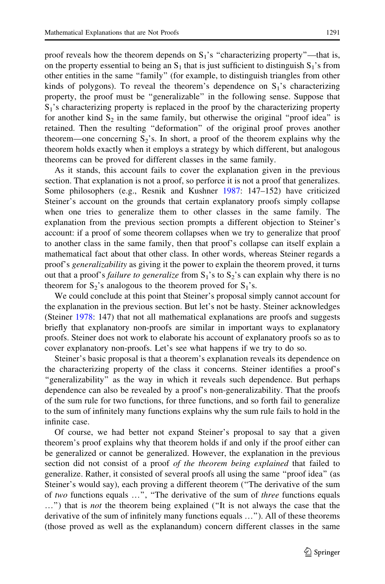proof reveals how the theorem depends on  $S_1$ 's "characterizing property"—that is, on the property essential to being an  $S_1$  that is just sufficient to distinguish  $S_1$ 's from other entities in the same ''family'' (for example, to distinguish triangles from other kinds of polygons). To reveal the theorem's dependence on  $S_1$ 's characterizing property, the proof must be ''generalizable'' in the following sense. Suppose that  $S_1$ 's characterizing property is replaced in the proof by the characterizing property for another kind  $S_2$  in the same family, but otherwise the original "proof idea" is retained. Then the resulting ''deformation'' of the original proof proves another theorem—one concerning  $S_2$ 's. In short, a proof of the theorem explains why the theorem holds exactly when it employs a strategy by which different, but analogous theorems can be proved for different classes in the same family.

As it stands, this account fails to cover the explanation given in the previous section. That explanation is not a proof, so perforce it is not a proof that generalizes. Some philosophers (e.g., Resnik and Kushner [1987](#page-17-0): 147–152) have criticized Steiner's account on the grounds that certain explanatory proofs simply collapse when one tries to generalize them to other classes in the same family. The explanation from the previous section prompts a different objection to Steiner's account: if a proof of some theorem collapses when we try to generalize that proof to another class in the same family, then that proof's collapse can itself explain a mathematical fact about that other class. In other words, whereas Steiner regards a proof's *generalizability* as giving it the power to explain the theorem proved, it turns out that a proof's *failure to generalize* from  $S_1$ 's to  $S_2$ 's can explain why there is no theorem for  $S_2$ 's analogous to the theorem proved for  $S_1$ 's.

We could conclude at this point that Steiner's proposal simply cannot account for the explanation in the previous section. But let's not be hasty. Steiner acknowledges (Steiner [1978:](#page-17-0) 147) that not all mathematical explanations are proofs and suggests briefly that explanatory non-proofs are similar in important ways to explanatory proofs. Steiner does not work to elaborate his account of explanatory proofs so as to cover explanatory non-proofs. Let's see what happens if we try to do so.

Steiner's basic proposal is that a theorem's explanation reveals its dependence on the characterizing property of the class it concerns. Steiner identifies a proof's "generalizability" as the way in which it reveals such dependence. But perhaps dependence can also be revealed by a proof's non-generalizability. That the proofs of the sum rule for two functions, for three functions, and so forth fail to generalize to the sum of infinitely many functions explains why the sum rule fails to hold in the infinite case.

Of course, we had better not expand Steiner's proposal to say that a given theorem's proof explains why that theorem holds if and only if the proof either can be generalized or cannot be generalized. However, the explanation in the previous section did not consist of a proof of the theorem being explained that failed to generalize. Rather, it consisted of several proofs all using the same ''proof idea'' (as Steiner's would say), each proving a different theorem (''The derivative of the sum of two functions equals ...", "The derivative of the sum of three functions equals …'') that is not the theorem being explained (''It is not always the case that the derivative of the sum of infinitely many functions equals …''). All of these theorems (those proved as well as the explanandum) concern different classes in the same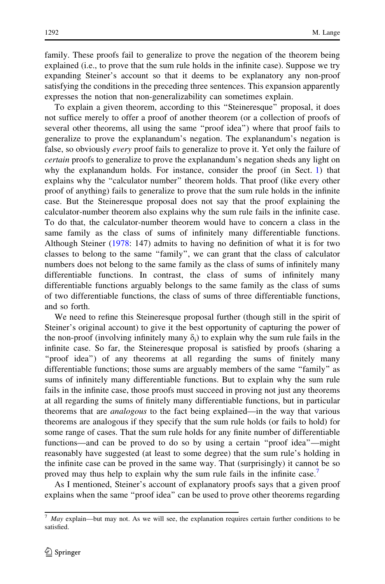family. These proofs fail to generalize to prove the negation of the theorem being explained (i.e., to prove that the sum rule holds in the infinite case). Suppose we try expanding Steiner's account so that it deems to be explanatory any non-proof satisfying the conditions in the preceding three sentences. This expansion apparently expresses the notion that non-generalizability can sometimes explain.

To explain a given theorem, according to this ''Steineresque'' proposal, it does not suffice merely to offer a proof of another theorem (or a collection of proofs of several other theorems, all using the same ''proof idea'') where that proof fails to generalize to prove the explanandum's negation. The explanandum's negation is false, so obviously *every* proof fails to generalize to prove it. Yet only the failure of certain proofs to generalize to prove the explanandum's negation sheds any light on why the explanandum holds. For instance, consider the proof (in Sect. [1\)](#page-0-0) that explains why the "calculator number" theorem holds. That proof (like every other proof of anything) fails to generalize to prove that the sum rule holds in the infinite case. But the Steineresque proposal does not say that the proof explaining the calculator-number theorem also explains why the sum rule fails in the infinite case. To do that, the calculator-number theorem would have to concern a class in the same family as the class of sums of infinitely many differentiable functions. Although Steiner ([1978:](#page-17-0) 147) admits to having no definition of what it is for two classes to belong to the same ''family'', we can grant that the class of calculator numbers does not belong to the same family as the class of sums of infinitely many differentiable functions. In contrast, the class of sums of infinitely many differentiable functions arguably belongs to the same family as the class of sums of two differentiable functions, the class of sums of three differentiable functions, and so forth.

We need to refine this Steineresque proposal further (though still in the spirit of Steiner's original account) to give it the best opportunity of capturing the power of the non-proof (involving infinitely many  $\delta_i$ ) to explain why the sum rule fails in the infinite case. So far, the Steineresque proposal is satisfied by proofs (sharing a ''proof idea'') of any theorems at all regarding the sums of finitely many differentiable functions; those sums are arguably members of the same ''family'' as sums of infinitely many differentiable functions. But to explain why the sum rule fails in the infinite case, those proofs must succeed in proving not just any theorems at all regarding the sums of finitely many differentiable functions, but in particular theorems that are analogous to the fact being explained—in the way that various theorems are analogous if they specify that the sum rule holds (or fails to hold) for some range of cases. That the sum rule holds for any finite number of differentiable functions—and can be proved to do so by using a certain ''proof idea''—might reasonably have suggested (at least to some degree) that the sum rule's holding in the infinite case can be proved in the same way. That (surprisingly) it cannot be so proved may thus help to explain why the sum rule fails in the infinite case.<sup>7</sup>

As I mentioned, Steiner's account of explanatory proofs says that a given proof explains when the same ''proof idea'' can be used to prove other theorems regarding

May explain—but may not. As we will see, the explanation requires certain further conditions to be satisfied.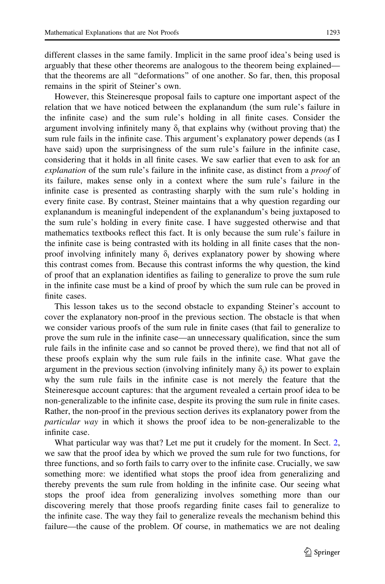different classes in the same family. Implicit in the same proof idea's being used is arguably that these other theorems are analogous to the theorem being explained that the theorems are all ''deformations'' of one another. So far, then, this proposal remains in the spirit of Steiner's own.

However, this Steineresque proposal fails to capture one important aspect of the relation that we have noticed between the explanandum (the sum rule's failure in the infinite case) and the sum rule's holding in all finite cases. Consider the argument involving infinitely many  $\delta_i$  that explains why (without proving that) the sum rule fails in the infinite case. This argument's explanatory power depends (as I have said) upon the surprisingness of the sum rule's failure in the infinite case, considering that it holds in all finite cases. We saw earlier that even to ask for an explanation of the sum rule's failure in the infinite case, as distinct from a *proof* of its failure, makes sense only in a context where the sum rule's failure in the infinite case is presented as contrasting sharply with the sum rule's holding in every finite case. By contrast, Steiner maintains that a why question regarding our explanandum is meaningful independent of the explanandum's being juxtaposed to the sum rule's holding in every finite case. I have suggested otherwise and that mathematics textbooks reflect this fact. It is only because the sum rule's failure in the infinite case is being contrasted with its holding in all finite cases that the nonproof involving infinitely many  $\delta_i$  derives explanatory power by showing where this contrast comes from. Because this contrast informs the why question, the kind of proof that an explanation identifies as failing to generalize to prove the sum rule in the infinite case must be a kind of proof by which the sum rule can be proved in finite cases.

This lesson takes us to the second obstacle to expanding Steiner's account to cover the explanatory non-proof in the previous section. The obstacle is that when we consider various proofs of the sum rule in finite cases (that fail to generalize to prove the sum rule in the infinite case—an unnecessary qualification, since the sum rule fails in the infinite case and so cannot be proved there), we find that not all of these proofs explain why the sum rule fails in the infinite case. What gave the argument in the previous section (involving infinitely many  $\delta_i$ ) its power to explain why the sum rule fails in the infinite case is not merely the feature that the Steineresque account captures: that the argument revealed a certain proof idea to be non-generalizable to the infinite case, despite its proving the sum rule in finite cases. Rather, the non-proof in the previous section derives its explanatory power from the particular way in which it shows the proof idea to be non-generalizable to the infinite case.

What particular way was that? Let me put it crudely for the moment. In Sect. [2,](#page-3-0) we saw that the proof idea by which we proved the sum rule for two functions, for three functions, and so forth fails to carry over to the infinite case. Crucially, we saw something more: we identified what stops the proof idea from generalizing and thereby prevents the sum rule from holding in the infinite case. Our seeing what stops the proof idea from generalizing involves something more than our discovering merely that those proofs regarding finite cases fail to generalize to the infinite case. The way they fail to generalize reveals the mechanism behind this failure—the cause of the problem. Of course, in mathematics we are not dealing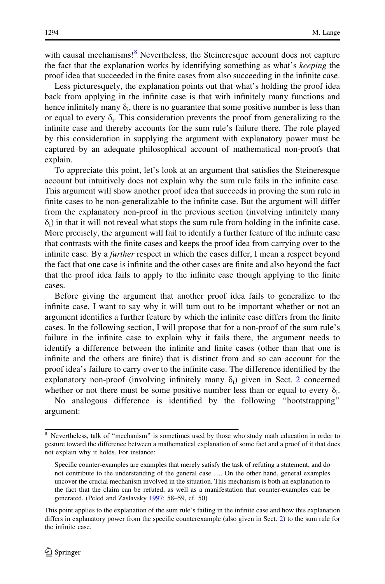with causal mechanisms! $8$  Nevertheless, the Steineresque account does not capture the fact that the explanation works by identifying something as what's keeping the proof idea that succeeded in the finite cases from also succeeding in the infinite case.

Less picturesquely, the explanation points out that what's holding the proof idea back from applying in the infinite case is that with infinitely many functions and hence infinitely many  $\delta_i$ , there is no guarantee that some positive number is less than or equal to every  $\delta_i$ . This consideration prevents the proof from generalizing to the infinite case and thereby accounts for the sum rule's failure there. The role played by this consideration in supplying the argument with explanatory power must be captured by an adequate philosophical account of mathematical non-proofs that explain.

To appreciate this point, let's look at an argument that satisfies the Steineresque account but intuitively does not explain why the sum rule fails in the infinite case. This argument will show another proof idea that succeeds in proving the sum rule in finite cases to be non-generalizable to the infinite case. But the argument will differ from the explanatory non-proof in the previous section (involving infinitely many  $\delta_i$ ) in that it will not reveal what stops the sum rule from holding in the infinite case. More precisely, the argument will fail to identify a further feature of the infinite case that contrasts with the finite cases and keeps the proof idea from carrying over to the infinite case. By a *further* respect in which the cases differ, I mean a respect beyond the fact that one case is infinite and the other cases are finite and also beyond the fact that the proof idea fails to apply to the infinite case though applying to the finite cases.

Before giving the argument that another proof idea fails to generalize to the infinite case, I want to say why it will turn out to be important whether or not an argument identifies a further feature by which the infinite case differs from the finite cases. In the following section, I will propose that for a non-proof of the sum rule's failure in the infinite case to explain why it fails there, the argument needs to identify a difference between the infinite and finite cases (other than that one is infinite and the others are finite) that is distinct from and so can account for the proof idea's failure to carry over to the infinite case. The difference identified by the explanatory non-proof (involving infinitely many  $\delta_i$ ) given in Sect. [2](#page-3-0) concerned whether or not there must be some positive number less than or equal to every  $\delta_i$ .

No analogous difference is identified by the following ''bootstrapping'' argument:

<sup>&</sup>lt;sup>8</sup> Nevertheless, talk of "mechanism" is sometimes used by those who study math education in order to gesture toward the difference between a mathematical explanation of some fact and a proof of it that does not explain why it holds. For instance:

Specific counter-examples are examples that merely satisfy the task of refuting a statement, and do not contribute to the understanding of the general case …. On the other hand, general examples uncover the crucial mechanism involved in the situation. This mechanism is both an explanation to the fact that the claim can be refuted, as well as a manifestation that counter-examples can be generated. (Peled and Zaslavsky [1997](#page-17-0): 58–59, cf. 50)

This point applies to the explanation of the sum rule's failing in the infinite case and how this explanation differs in explanatory power from the specific counterexample (also given in Sect. [2](#page-3-0)) to the sum rule for the infinite case.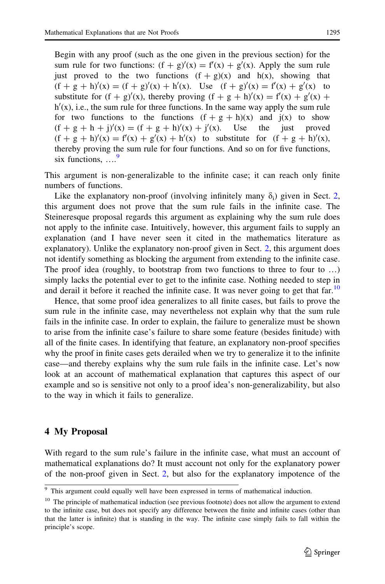<span id="page-10-0"></span>Begin with any proof (such as the one given in the previous section) for the sum rule for two functions:  $(f + g)'(x) = f'(x) + g'(x)$ . Apply the sum rule just proved to the two functions  $(f + g)(x)$  and  $h(x)$ , showing that  $(f + g + h)'(x) = (f + g)'(x) + h'(x)$ . Use  $(f + g)'(x) = f'(x) + g'(x)$  to substitute for  $(f + g)'(x)$ , thereby proving  $(f + g + h)'(x) = f'(x) + g'(x) +$  $h'(x)$ , i.e., the sum rule for three functions. In the same way apply the sum rule for two functions to the functions  $(f + g + h)(x)$  and  $j(x)$  to show  $(f + g + h + j)'(x) = (f + g + h)'(x) + j'$ Use the just proved  $(f + g + h)'(x) = f'(x) + g'(x) + h'(x)$  to substitute for  $(f + g + h)'(x)$ , thereby proving the sum rule for four functions. And so on for five functions, six functions, ....<sup>9</sup>

This argument is non-generalizable to the infinite case; it can reach only finite numbers of functions.

Like the explanatory non-proof (involving infinitely many  $\delta_i$ ) given in Sect. [2,](#page-3-0) this argument does not prove that the sum rule fails in the infinite case. The Steineresque proposal regards this argument as explaining why the sum rule does not apply to the infinite case. Intuitively, however, this argument fails to supply an explanation (and I have never seen it cited in the mathematics literature as explanatory). Unlike the explanatory non-proof given in Sect. [2](#page-3-0), this argument does not identify something as blocking the argument from extending to the infinite case. The proof idea (roughly, to bootstrap from two functions to three to four to …) simply lacks the potential ever to get to the infinite case. Nothing needed to step in and derail it before it reached the infinite case. It was never going to get that far.<sup>10</sup>

Hence, that some proof idea generalizes to all finite cases, but fails to prove the sum rule in the infinite case, may nevertheless not explain why that the sum rule fails in the infinite case. In order to explain, the failure to generalize must be shown to arise from the infinite case's failure to share some feature (besides finitude) with all of the finite cases. In identifying that feature, an explanatory non-proof specifies why the proof in finite cases gets derailed when we try to generalize it to the infinite case—and thereby explains why the sum rule fails in the infinite case. Let's now look at an account of mathematical explanation that captures this aspect of our example and so is sensitive not only to a proof idea's non-generalizability, but also to the way in which it fails to generalize.

#### 4 My Proposal

With regard to the sum rule's failure in the infinite case, what must an account of mathematical explanations do? It must account not only for the explanatory power of the non-proof given in Sect. [2](#page-3-0), but also for the explanatory impotence of the

<sup>&</sup>lt;sup>9</sup> This argument could equally well have been expressed in terms of mathematical induction.

<sup>&</sup>lt;sup>10</sup> The principle of mathematical induction (see previous footnote) does not allow the argument to extend to the infinite case, but does not specify any difference between the finite and infinite cases (other than that the latter is infinite) that is standing in the way. The infinite case simply fails to fall within the principle's scope.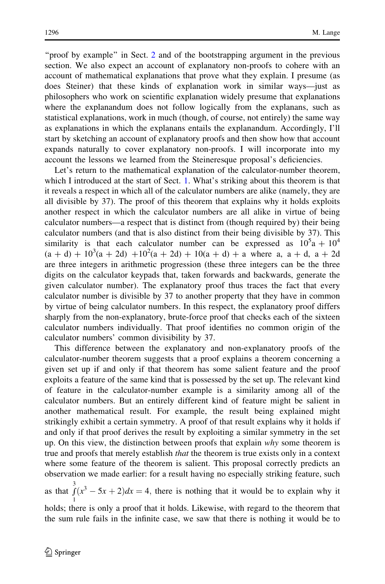"proof by example" in Sect. [2](#page-3-0) and of the bootstrapping argument in the previous section. We also expect an account of explanatory non-proofs to cohere with an account of mathematical explanations that prove what they explain. I presume (as does Steiner) that these kinds of explanation work in similar ways—just as philosophers who work on scientific explanation widely presume that explanations where the explanandum does not follow logically from the explanans, such as statistical explanations, work in much (though, of course, not entirely) the same way as explanations in which the explanans entails the explanandum. Accordingly, I'll start by sketching an account of explanatory proofs and then show how that account expands naturally to cover explanatory non-proofs. I will incorporate into my account the lessons we learned from the Steineresque proposal's deficiencies.

Let's return to the mathematical explanation of the calculator-number theorem, which I introduced at the start of Sect. [1.](#page-0-0) What's striking about this theorem is that it reveals a respect in which all of the calculator numbers are alike (namely, they are all divisible by 37). The proof of this theorem that explains why it holds exploits another respect in which the calculator numbers are all alike in virtue of being calculator numbers—a respect that is distinct from (though required by) their being calculator numbers (and that is also distinct from their being divisible by 37). This similarity is that each calculator number can be expressed as  $10^5a + 10^4$  $(a + d) + 10^{3}(a + 2d) + 10^{2}(a + 2d) + 10(a + d) + a$  where a, a + d, a + 2d are three integers in arithmetic progression (these three integers can be the three digits on the calculator keypads that, taken forwards and backwards, generate the given calculator number). The explanatory proof thus traces the fact that every calculator number is divisible by 37 to another property that they have in common by virtue of being calculator numbers. In this respect, the explanatory proof differs sharply from the non-explanatory, brute-force proof that checks each of the sixteen calculator numbers individually. That proof identifies no common origin of the calculator numbers' common divisibility by 37.

This difference between the explanatory and non-explanatory proofs of the calculator-number theorem suggests that a proof explains a theorem concerning a given set up if and only if that theorem has some salient feature and the proof exploits a feature of the same kind that is possessed by the set up. The relevant kind of feature in the calculator-number example is a similarity among all of the calculator numbers. But an entirely different kind of feature might be salient in another mathematical result. For example, the result being explained might strikingly exhibit a certain symmetry. A proof of that result explains why it holds if and only if that proof derives the result by exploiting a similar symmetry in the set up. On this view, the distinction between proofs that explain why some theorem is true and proofs that merely establish *that* the theorem is true exists only in a context where some feature of the theorem is salient. This proposal correctly predicts an observation we made earlier: for a result having no especially striking feature, such

as that  $\int_0^3 (x^3 - 5x + 2) dx = 4$ , there is nothing that it would be to explain why it 1

holds; there is only a proof that it holds. Likewise, with regard to the theorem that the sum rule fails in the infinite case, we saw that there is nothing it would be to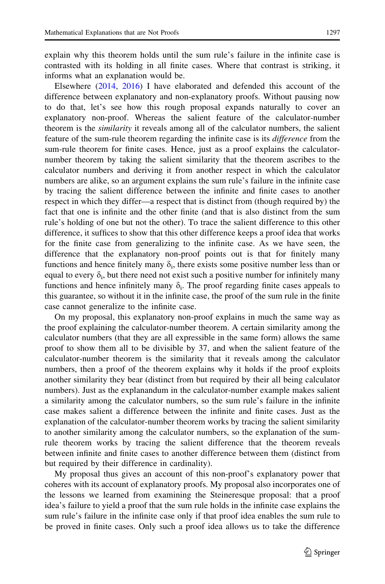explain why this theorem holds until the sum rule's failure in the infinite case is contrasted with its holding in all finite cases. Where that contrast is striking, it informs what an explanation would be.

Elsewhere [\(2014](#page-17-0), [2016\)](#page-17-0) I have elaborated and defended this account of the difference between explanatory and non-explanatory proofs. Without pausing now to do that, let's see how this rough proposal expands naturally to cover an explanatory non-proof. Whereas the salient feature of the calculator-number theorem is the *similarity* it reveals among all of the calculator numbers, the salient feature of the sum-rule theorem regarding the infinite case is its difference from the sum-rule theorem for finite cases. Hence, just as a proof explains the calculatornumber theorem by taking the salient similarity that the theorem ascribes to the calculator numbers and deriving it from another respect in which the calculator numbers are alike, so an argument explains the sum rule's failure in the infinite case by tracing the salient difference between the infinite and finite cases to another respect in which they differ—a respect that is distinct from (though required by) the fact that one is infinite and the other finite (and that is also distinct from the sum rule's holding of one but not the other). To trace the salient difference to this other difference, it suffices to show that this other difference keeps a proof idea that works for the finite case from generalizing to the infinite case. As we have seen, the difference that the explanatory non-proof points out is that for finitely many functions and hence finitely many  $\delta_i$ , there exists some positive number less than or equal to every  $\delta_i$ , but there need not exist such a positive number for infinitely many functions and hence infinitely many  $\delta_i$ . The proof regarding finite cases appeals to this guarantee, so without it in the infinite case, the proof of the sum rule in the finite case cannot generalize to the infinite case.

On my proposal, this explanatory non-proof explains in much the same way as the proof explaining the calculator-number theorem. A certain similarity among the calculator numbers (that they are all expressible in the same form) allows the same proof to show them all to be divisible by 37, and when the salient feature of the calculator-number theorem is the similarity that it reveals among the calculator numbers, then a proof of the theorem explains why it holds if the proof exploits another similarity they bear (distinct from but required by their all being calculator numbers). Just as the explanandum in the calculator-number example makes salient a similarity among the calculator numbers, so the sum rule's failure in the infinite case makes salient a difference between the infinite and finite cases. Just as the explanation of the calculator-number theorem works by tracing the salient similarity to another similarity among the calculator numbers, so the explanation of the sumrule theorem works by tracing the salient difference that the theorem reveals between infinite and finite cases to another difference between them (distinct from but required by their difference in cardinality).

My proposal thus gives an account of this non-proof's explanatory power that coheres with its account of explanatory proofs. My proposal also incorporates one of the lessons we learned from examining the Steineresque proposal: that a proof idea's failure to yield a proof that the sum rule holds in the infinite case explains the sum rule's failure in the infinite case only if that proof idea enables the sum rule to be proved in finite cases. Only such a proof idea allows us to take the difference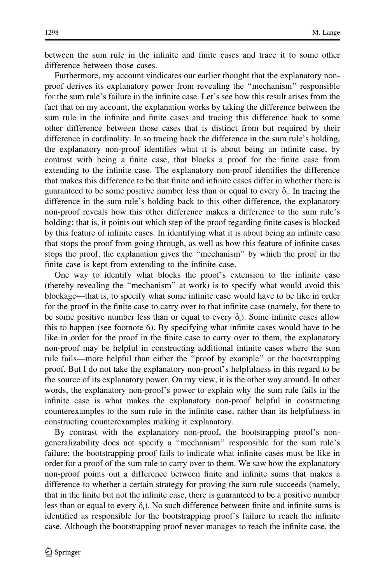between the sum rule in the infinite and finite cases and trace it to some other difference between those cases.

Furthermore, my account vindicates our earlier thought that the explanatory nonproof derives its explanatory power from revealing the ''mechanism'' responsible for the sum rule's failure in the infinite case. Let's see how this result arises from the fact that on my account, the explanation works by taking the difference between the sum rule in the infinite and finite cases and tracing this difference back to some other difference between those cases that is distinct from but required by their difference in cardinality. In so tracing back the difference in the sum rule's holding, the explanatory non-proof identifies what it is about being an infinite case, by contrast with being a finite case, that blocks a proof for the finite case from extending to the infinite case. The explanatory non-proof identifies the difference that makes this difference to be that finite and infinite cases differ in whether there is guaranteed to be some positive number less than or equal to every  $\delta_i$ . In tracing the difference in the sum rule's holding back to this other difference, the explanatory non-proof reveals how this other difference makes a difference to the sum rule's holding; that is, it points out which step of the proof regarding finite cases is blocked by this feature of infinite cases. In identifying what it is about being an infinite case that stops the proof from going through, as well as how this feature of infinite cases stops the proof, the explanation gives the ''mechanism'' by which the proof in the finite case is kept from extending to the infinite case.

One way to identify what blocks the proof's extension to the infinite case (thereby revealing the ''mechanism'' at work) is to specify what would avoid this blockage—that is, to specify what some infinite case would have to be like in order for the proof in the finite case to carry over to that infinite case (namely, for there to be some positive number less than or equal to every  $\delta_i$ ). Some infinite cases allow this to happen (see footnote 6). By specifying what infinite cases would have to be like in order for the proof in the finite case to carry over to them, the explanatory non-proof may be helpful in constructing additional infinite cases where the sum rule fails—more helpful than either the ''proof by example'' or the bootstrapping proof. But I do not take the explanatory non-proof's helpfulness in this regard to be the source of its explanatory power. On my view, it is the other way around. In other words, the explanatory non-proof's power to explain why the sum rule fails in the infinite case is what makes the explanatory non-proof helpful in constructing counterexamples to the sum rule in the infinite case, rather than its helpfulness in constructing counterexamples making it explanatory.

By contrast with the explanatory non-proof, the bootstrapping proof's nongeneralizability does not specify a ''mechanism'' responsible for the sum rule's failure; the bootstrapping proof fails to indicate what infinite cases must be like in order for a proof of the sum rule to carry over to them. We saw how the explanatory non-proof points out a difference between finite and infinite sums that makes a difference to whether a certain strategy for proving the sum rule succeeds (namely, that in the finite but not the infinite case, there is guaranteed to be a positive number less than or equal to every  $\delta_i$ ). No such difference between finite and infinite sums is identified as responsible for the bootstrapping proof's failure to reach the infinite case. Although the bootstrapping proof never manages to reach the infinite case, the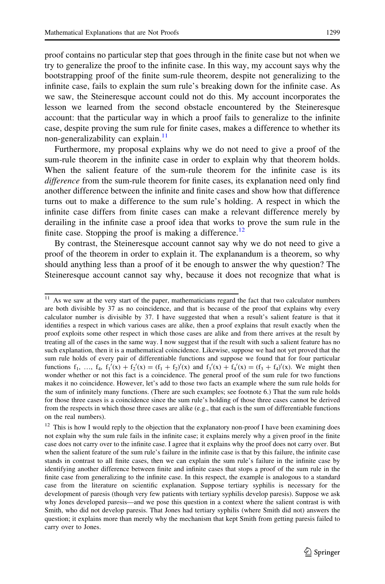proof contains no particular step that goes through in the finite case but not when we try to generalize the proof to the infinite case. In this way, my account says why the bootstrapping proof of the finite sum-rule theorem, despite not generalizing to the infinite case, fails to explain the sum rule's breaking down for the infinite case. As we saw, the Steineresque account could not do this. My account incorporates the lesson we learned from the second obstacle encountered by the Steineresque account: that the particular way in which a proof fails to generalize to the infinite case, despite proving the sum rule for finite cases, makes a difference to whether its non-generalizability can explain.<sup>11</sup>

Furthermore, my proposal explains why we do not need to give a proof of the sum-rule theorem in the infinite case in order to explain why that theorem holds. When the salient feature of the sum-rule theorem for the infinite case is its difference from the sum-rule theorem for finite cases, its explanation need only find another difference between the infinite and finite cases and show how that difference turns out to make a difference to the sum rule's holding. A respect in which the infinite case differs from finite cases can make a relevant difference merely by derailing in the infinite case a proof idea that works to prove the sum rule in the finite case. Stopping the proof is making a difference.<sup>12</sup>

By contrast, the Steineresque account cannot say why we do not need to give a proof of the theorem in order to explain it. The explanandum is a theorem, so why should anything less than a proof of it be enough to answer the why question? The Steineresque account cannot say why, because it does not recognize that what is

 $\frac{11}{11}$  As we saw at the very start of the paper, mathematicians regard the fact that two calculator numbers are both divisible by 37 as no coincidence, and that is because of the proof that explains why every calculator number is divisible by 37. I have suggested that when a result's salient feature is that it identifies a respect in which various cases are alike, then a proof explains that result exactly when the proof exploits some other respect in which those cases are alike and from there arrives at the result by treating all of the cases in the same way. I now suggest that if the result with such a salient feature has no such explanation, then it is a mathematical coincidence. Likewise, suppose we had not yet proved that the sum rule holds of every pair of differentiable functions and suppose we found that for four particular functions  $f_1$ , ...,  $f_4$ ,  $f_1'(x) + f_2'(x) = (f_1 + f_2)'(x)$  and  $f_3'(x) + f_4'(x) = (f_3 + f_4)'(x)$ . We might then wonder whether or not this fact is a coincidence. The general proof of the sum rule for two functions makes it no coincidence. However, let's add to those two facts an example where the sum rule holds for the sum of infinitely many functions. (There are such examples; see footnote 6.) That the sum rule holds for those three cases is a coincidence since the sum rule's holding of those three cases cannot be derived from the respects in which those three cases are alike (e.g., that each is the sum of differentiable functions on the real numbers).

<sup>&</sup>lt;sup>12</sup> This is how I would reply to the objection that the explanatory non-proof I have been examining does not explain why the sum rule fails in the infinite case; it explains merely why a given proof in the finite case does not carry over to the infinite case. I agree that it explains why the proof does not carry over. But when the salient feature of the sum rule's failure in the infinite case is that by this failure, the infinite case stands in contrast to all finite cases, then we can explain the sum rule's failure in the infinite case by identifying another difference between finite and infinite cases that stops a proof of the sum rule in the finite case from generalizing to the infinite case. In this respect, the example is analogous to a standard case from the literature on scientific explanation. Suppose tertiary syphilis is necessary for the development of paresis (though very few patients with tertiary syphilis develop paresis). Suppose we ask why Jones developed paresis—and we pose this question in a context where the salient contrast is with Smith, who did not develop paresis. That Jones had tertiary syphilis (where Smith did not) answers the question; it explains more than merely why the mechanism that kept Smith from getting paresis failed to carry over to Jones.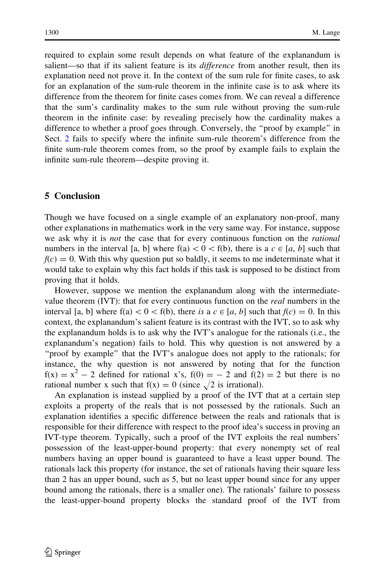<span id="page-15-0"></span>required to explain some result depends on what feature of the explanandum is salient—so that if its salient feature is its *difference* from another result, then its explanation need not prove it. In the context of the sum rule for finite cases, to ask for an explanation of the sum-rule theorem in the infinite case is to ask where its difference from the theorem for finite cases comes from. We can reveal a difference that the sum's cardinality makes to the sum rule without proving the sum-rule theorem in the infinite case: by revealing precisely how the cardinality makes a difference to whether a proof goes through. Conversely, the ''proof by example'' in Sect. [2](#page-3-0) fails to specify where the infinite sum-rule theorem's difference from the finite sum-rule theorem comes from, so the proof by example fails to explain the infinite sum-rule theorem—despite proving it.

## 5 Conclusion

Though we have focused on a single example of an explanatory non-proof, many other explanations in mathematics work in the very same way. For instance, suppose we ask why it is *not* the case that for every continuous function on the *rational* numbers in the interval [a, b] where  $f(a) < 0 < f(b)$ , there is a  $c \in [a, b]$  such that  $f(c) = 0$ . With this why question put so baldly, it seems to me indeterminate what it would take to explain why this fact holds if this task is supposed to be distinct from proving that it holds.

However, suppose we mention the explanandum along with the intermediatevalue theorem (IVT): that for every continuous function on the *real* numbers in the interval [a, b] where  $f(a) < 0 < f(b)$ , there is a  $c \in [a, b]$  such that  $f(c) = 0$ . In this context, the explanandum's salient feature is its contrast with the IVT, so to ask why the explanandum holds is to ask why the IVT's analogue for the rationals (i.e., the explanandum's negation) fails to hold. This why question is not answered by a "proof by example" that the IVT's analogue does not apply to the rationals; for instance, the why question is not answered by noting that for the function  $f(x) = x^2 - 2$  defined for rational x's,  $f(0) = -2$  and  $f(2) = 2$  but there is no rational number x such that  $f(x) = 0$  (since  $\sqrt{2}$  is irrational).

An explanation is instead supplied by a proof of the IVT that at a certain step exploits a property of the reals that is not possessed by the rationals. Such an explanation identifies a specific difference between the reals and rationals that is responsible for their difference with respect to the proof idea's success in proving an IVT-type theorem. Typically, such a proof of the IVT exploits the real numbers' possession of the least-upper-bound property: that every nonempty set of real numbers having an upper bound is guaranteed to have a least upper bound. The rationals lack this property (for instance, the set of rationals having their square less than 2 has an upper bound, such as 5, but no least upper bound since for any upper bound among the rationals, there is a smaller one). The rationals' failure to possess the least-upper-bound property blocks the standard proof of the IVT from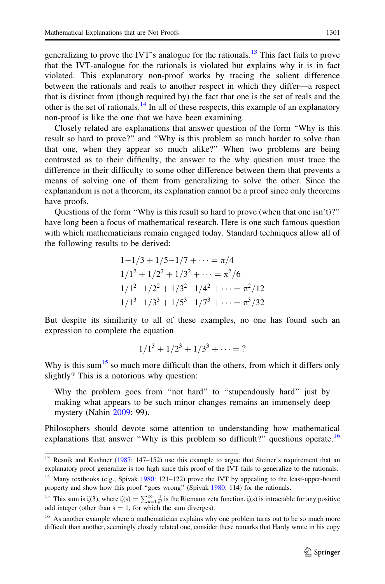generalizing to prove the IVT's analogue for the rationals.<sup>13</sup> This fact fails to prove that the IVT-analogue for the rationals is violated but explains why it is in fact violated. This explanatory non-proof works by tracing the salient difference between the rationals and reals to another respect in which they differ—a respect that is distinct from (though required by) the fact that one is the set of reals and the other is the set of rationals.<sup>14</sup> In all of these respects, this example of an explanatory non-proof is like the one that we have been examining.

Closely related are explanations that answer question of the form ''Why is this result so hard to prove?'' and ''Why is this problem so much harder to solve than that one, when they appear so much alike?'' When two problems are being contrasted as to their difficulty, the answer to the why question must trace the difference in their difficulty to some other difference between them that prevents a means of solving one of them from generalizing to solve the other. Since the explanandum is not a theorem, its explanation cannot be a proof since only theorems have proofs.

Questions of the form ''Why is this result so hard to prove (when that one isn't)?'' have long been a focus of mathematical research. Here is one such famous question with which mathematicians remain engaged today. Standard techniques allow all of the following results to be derived:

$$
1-1/3 + 1/5 - 1/7 + \dots = \pi/4
$$
  
\n
$$
1/1^2 + 1/2^2 + 1/3^2 + \dots = \pi^2/6
$$
  
\n
$$
1/1^2 - 1/2^2 + 1/3^2 - 1/4^2 + \dots = \pi^2/12
$$
  
\n
$$
1/1^3 - 1/3^3 + 1/5^3 - 1/7^3 + \dots = \pi^3/32
$$

But despite its similarity to all of these examples, no one has found such an expression to complete the equation

$$
1/1^3 + 1/2^3 + 1/3^3 + \cdots = ?
$$

Why is this sum<sup>15</sup> so much more difficult than the others, from which it differs only slightly? This is a notorious why question:

Why the problem goes from "not hard" to "stupendously hard" just by making what appears to be such minor changes remains an immensely deep mystery (Nahin [2009:](#page-17-0) 99).

Philosophers should devote some attention to understanding how mathematical explanations that answer "Why is this problem so difficult?" questions operate.<sup>16</sup>

<sup>&</sup>lt;sup>13</sup> Resnik and Kushner ([1987](#page-17-0): 147-152) use this example to argue that Steiner's requirement that an explanatory proof generalize is too high since this proof of the IVT fails to generalize to the rationals.

<sup>&</sup>lt;sup>14</sup> Many textbooks (e.g., Spivak [1980:](#page-17-0) 121-122) prove the IVT by appealing to the least-upper-bound property and show how this proof "goes wrong" (Spivak [1980:](#page-17-0) 114) for the rationals.

<sup>&</sup>lt;sup>15</sup> This sum is  $\zeta(3)$ , where  $\zeta(s) = \sum_{n=1}^{\infty} \frac{1}{n^s}$  is the Riemann zeta function.  $\zeta(s)$  is intractable for any positive odd integer (other than  $s = 1$ , for which the sum diverges).

<sup>&</sup>lt;sup>16</sup> As another example where a mathematician explains why one problem turns out to be so much more difficult than another, seemingly closely related one, consider these remarks that Hardy wrote in his copy